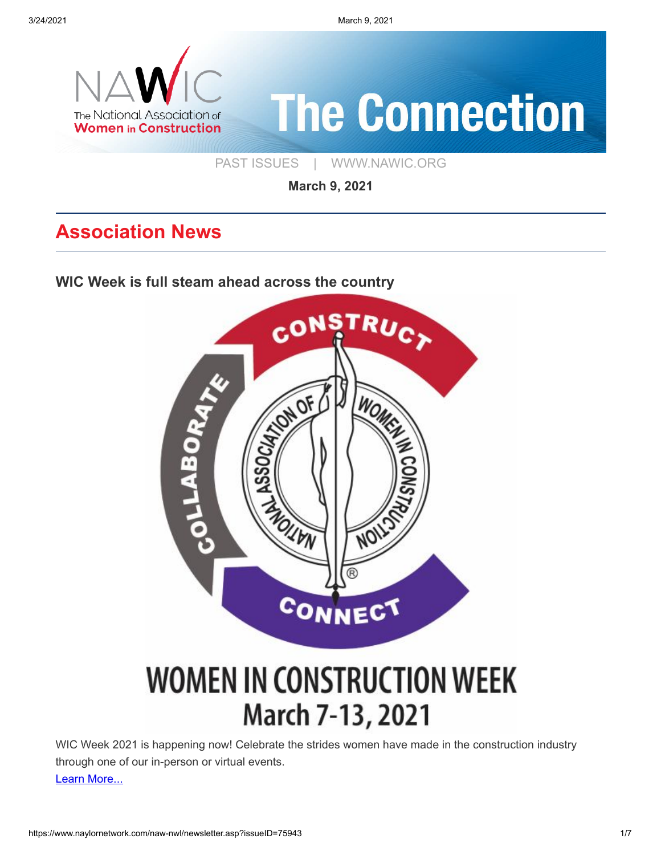3/24/2021 March 9, 2021



[PAST ISSUES](https://www.naylornetwork.com/naw-nwl/index.asp) | [WWW.NAWIC.ORG](https://www.nawic.org/nawic/default.asp)

**March 9, 2021**

# **Association News**

**[WIC Week is full steam ahead across the country](https://www.naylornetwork.com/naw-nwl/www.nawic.org/nawic/Landing-WIC-Week.asp)**



# **WOMEN IN CONSTRUCTION WEEK** March 7-13, 2021

WIC Week 2021 is happening now! Celebrate the strides women have made in the construction industry through one of our in-person or virtual events. [Learn More...](https://www.naylornetwork.com/naw-nwl/www.nawic.org/nawic/Landing-WIC-Week.asp)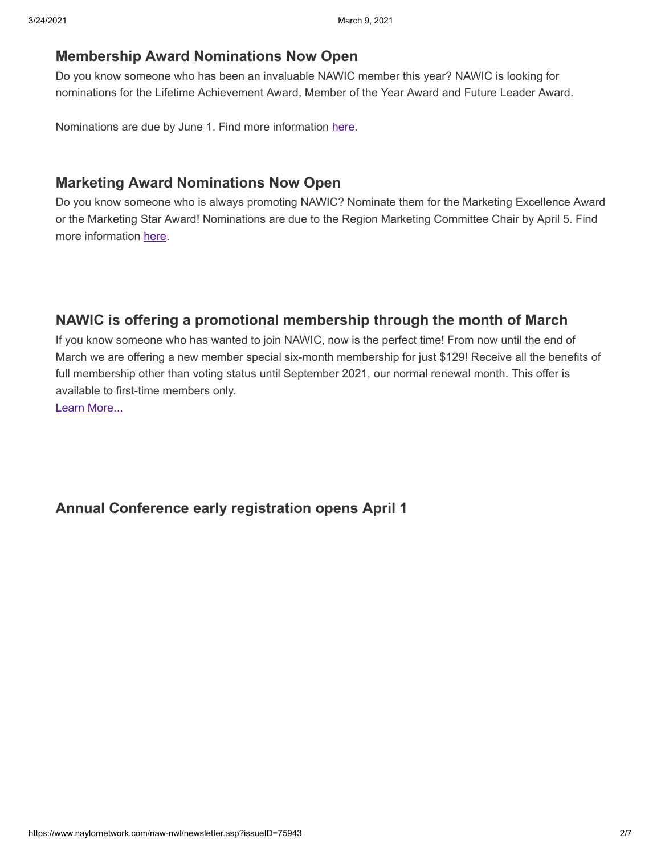#### **[Membership Award Nominations Now Open](https://www.naylornetwork.com/naw-nwl/articles/index.asp?aid=665686&issueID=75943)**

Do you know someone who has been an invaluable NAWIC member this year? NAWIC is looking for nominations for the Lifetime Achievement Award, Member of the Year Award and Future Leader Award.

Nominations are due by June 1. Find more information [here.](https://www.nawic.org/nawic/Awards.asp)

### **[Marketing Award Nominations Now Open](https://www.naylornetwork.com/naw-nwl/articles/index.asp?aid=666028&issueID=75943)**

Do you know someone who is always promoting NAWIC? Nominate them for the Marketing Excellence Award or the Marketing Star Award! Nominations are due to the Region Marketing Committee Chair by April 5. Find more information [here](https://www.nawic.org/Login.asp?MODE=LOGIN&Login_Redirect=True&Login_RedirectURL=%2Fnawic%2FMembers%2Easp).

### **[NAWIC is offering a promotional membership through the month of March](https://www.nawic.org/nawic/Special-Offer.asp)**

If you know someone who has wanted to join NAWIC, now is the perfect time! From now until the end of March we are offering a new member special six-month membership for just \$129! Receive all the benefits of full membership other than voting status until September 2021, our normal renewal month. This offer is available to first-time members only.

[Learn More...](https://www.nawic.org/nawic/Special-Offer.asp)

#### **[Annual Conference early registration opens April 1](https://www.naylornetwork.com/naw-nwl/articles/index.asp?aid=665425&issueID=75943)**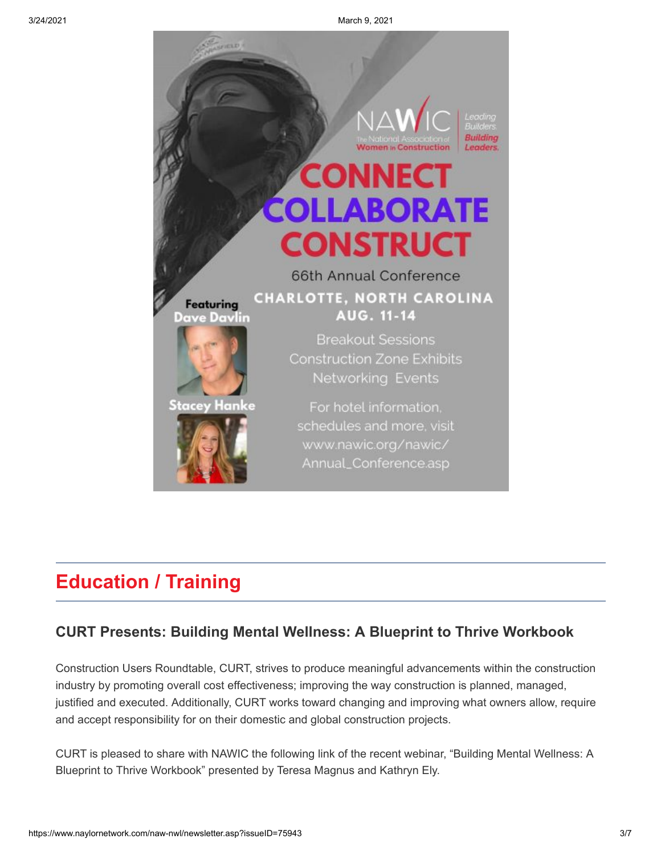

# **Education / Training**

#### **[CURT Presents: Building Mental Wellness: A Blueprint to Thrive Workbook](https://urldefense.com/v3/__https:/youtu.be/zMdjUufMNY0__;!!OSk2xZAYnw!OS_q4d0Lw9ey4Qfm-2DZDIaeZ0A845ZXdJ9fiTCeEL3HK00YCuhgKSGI2UzO4SQ$)**

Construction Users Roundtable, CURT, strives to produce meaningful advancements within the construction industry by promoting overall cost effectiveness; improving the way construction is planned, managed, justified and executed. Additionally, CURT works toward changing and improving what owners allow, require and accept responsibility for on their domestic and global construction projects.

CURT is pleased to share with NAWIC the following link of the recent webinar, "Building Mental Wellness: A Blueprint to Thrive Workbook" presented by Teresa Magnus and Kathryn Ely.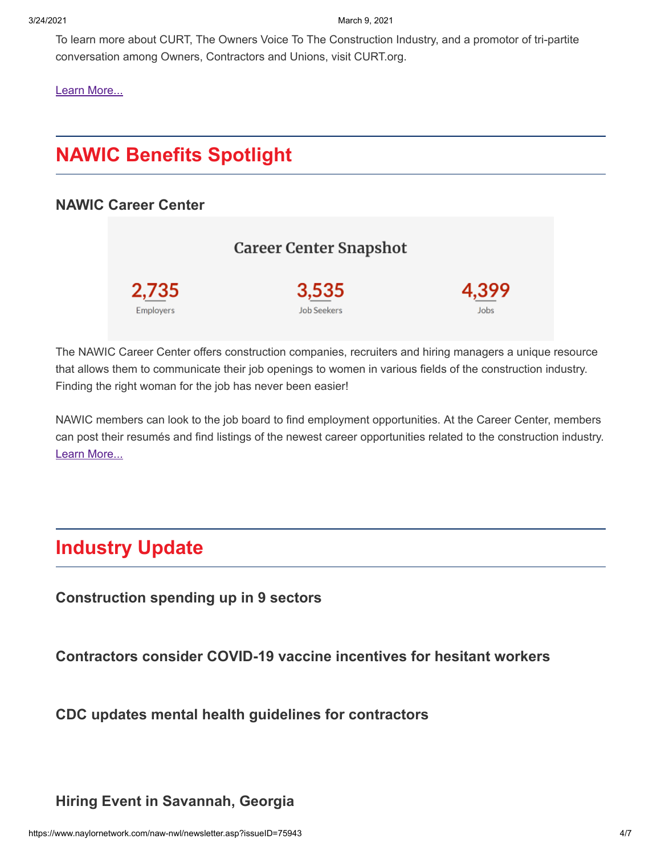3/24/2021 March 9, 2021

To learn more about CURT, The Owners Voice To The Construction Industry, and a promotor of tri-partite conversation among Owners, Contractors and Unions, visit CURT.org.

[Learn More...](https://urldefense.com/v3/__https:/youtu.be/zMdjUufMNY0__;!!OSk2xZAYnw!OS_q4d0Lw9ey4Qfm-2DZDIaeZ0A845ZXdJ9fiTCeEL3HK00YCuhgKSGI2UzO4SQ$)

# **NAWIC Benefits Spotlight**

#### **[NAWIC Career Center](https://nawic-jobs.careerwebsite.com/)**

|                  | Career Center Snapshot |       |
|------------------|------------------------|-------|
| 2,735            | 3,535                  | 4.399 |
| <b>Employers</b> | <b>Job Seekers</b>     | Jobs  |

The NAWIC Career Center offers construction companies, recruiters and hiring managers a unique resource that allows them to communicate their job openings to women in various fields of the construction industry. Finding the right woman for the job has never been easier!

NAWIC members can look to the job board to find employment opportunities. At the Career Center, members can post their resumés and find listings of the newest career opportunities related to the construction industry. [Learn More...](https://nawic-jobs.careerwebsite.com/)

# **Industry Update**

**[Construction spending up in 9 sectors](https://www.constructiondive.com/news/construction-spending-up-in-9-sectors/595939/)**

**[Contractors consider COVID-19 vaccine incentives for hesitant workers](https://www.constructiondive.com/news/contractors-consider-covid-19-vaccine-incentives-for-hesitant-workers/595742/)**

**[CDC updates mental health guidelines for contractors](https://www.constructiondive.com/news/cdc-updates-mental-health-guidelines-for-contractors/595731/)**

**[Hiring Event in Savannah, Georgia](https://www.naylornetwork.com/naw-nwl/articles/index.asp?aid=665682&issueID=75943)**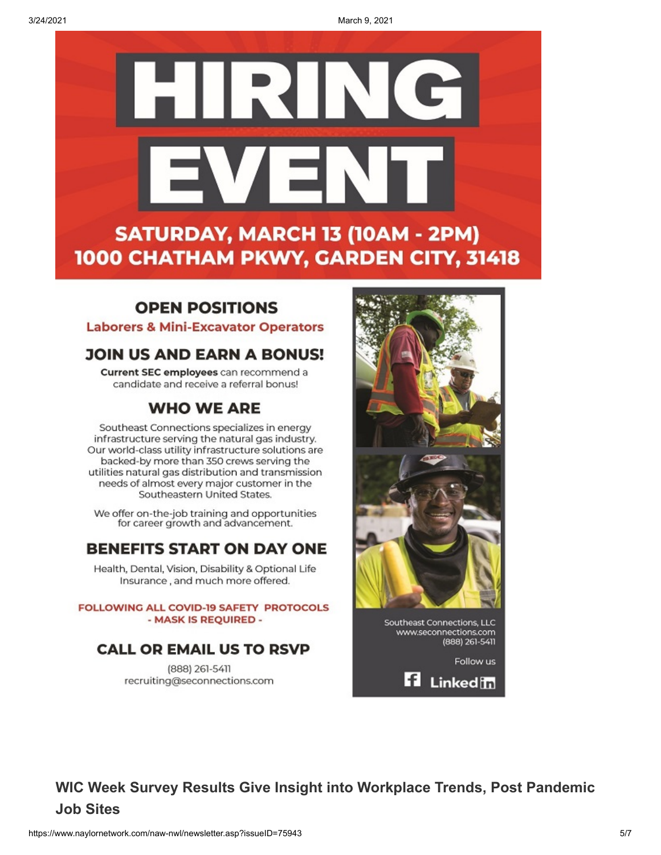3/24/2021 March 9, 2021



### **OPEN POSITIONS**

**Laborers & Mini-Excavator Operators** 

### **JOIN US AND EARN A BONUS!**

Current SEC employees can recommend a candidate and receive a referral bonus!

### **WHO WE ARE**

Southeast Connections specializes in energy infrastructure serving the natural gas industry. Our world-class utility infrastructure solutions are backed-by more than 350 crews serving the utilities natural gas distribution and transmission needs of almost every major customer in the Southeastern United States.

We offer on-the-job training and opportunities for career growth and advancement.

### **BENEFITS START ON DAY ONE**

Health, Dental, Vision, Disability & Optional Life Insurance, and much more offered.

**FOLLOWING ALL COVID-19 SAFETY PROTOCOLS** - MASK IS REQUIRED -

### **CALL OR EMAIL US TO RSVP**

(888) 261-5411 recruiting@seconnections.com



**Fi** Linked in

**[WIC Week Survey Results Give Insight into Workplace Trends, Post Pandemic](https://www.naylornetwork.com/naw-nwl/articles/index.asp?aid=665769&issueID=75943) Job Sites**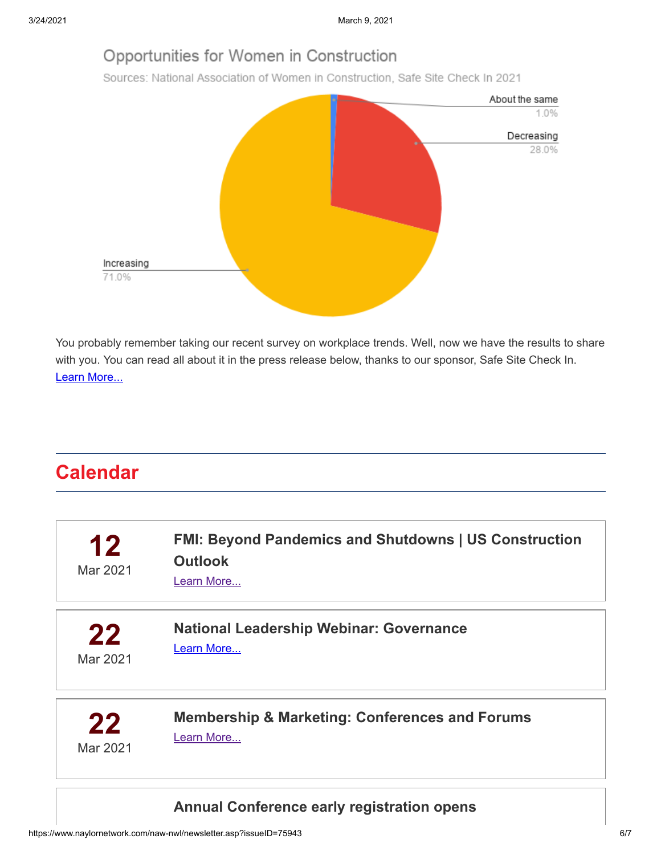## Opportunities for Women in Construction

Sources: National Association of Women in Construction, Safe Site Check In 2021



You probably remember taking our recent survey on workplace trends. Well, now we have the results to share with you. You can read all about it in the press release below, thanks to our sponsor, Safe Site Check In. [Learn More...](https://www.naylornetwork.com/naw-nwl/articles/index.asp?aid=665769&issueID=75943)

# **Calendar**

| 12<br>Mar 2021 | <b>FMI: Beyond Pandemics and Shutdowns   US Construction</b><br><b>Outlook</b><br>Learn More |  |
|----------------|----------------------------------------------------------------------------------------------|--|
| 22             | <b>National Leadership Webinar: Governance</b>                                               |  |
| Mar 2021       | Learn More                                                                                   |  |
| 22             | <b>Membership &amp; Marketing: Conferences and Forums</b>                                    |  |
| Mar 2021       | Learn More                                                                                   |  |

### **[Annual Conference early registration opens](https://www.naylornetwork.com/naw-nwl/www.nawic.org/nawic/Annual_Conference.asp)**